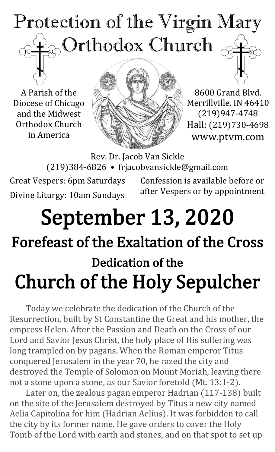

A Parish of the Diocese of Chicago and the Midwest Orthodox Church in America



8600 Grand Blvd. Merrillville, IN 46410 (219)947-4748 Hall: (219)730-4698 www.ptvm.com

Rev. Dr. Jacob Van Sickle (219)384-6826 • frjacobvansickle@gmail.com

Great Vespers: 6pm Saturdays Divine Liturgy: 10am Sundays

Confession is available before or after Vespers or by appointment

# September 13, 2020 Forefeast of the Exaltation of the Cross Dedication of the Church of the Holy Sepulcher

Today we celebrate the dedication of the Church of the Resurrection, built by St Constantine the Great and his mother, the empress Helen. After the Passion and Death on the Cross of our Lord and Savior Jesus Christ, the holy place of His suffering was long trampled on by pagans. When the Roman emperor Titus conquered Jerusalem in the year 70, he razed the city and destroyed the Temple of Solomon on Mount Moriah, leaving there not a stone upon a stone, as our Savior foretold (Mt. 13:1-2).

Later on, the zealous pagan emperor Hadrian (117-138) built on the site of the Jerusalem destroyed by Titus a new city named Aelia Capitolina for him (Hadrian Aelius). It was forbidden to call the city by its former name. He gave orders to cover the Holy Tomb of the Lord with earth and stones, and on that spot to set up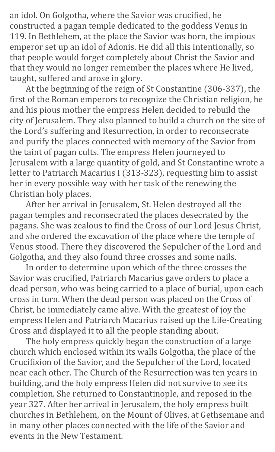an idol. On Golgotha, where the Savior was crucified, he constructed a pagan temple dedicated to the goddess Venus in 119. In Bethlehem, at the place the Savior was born, the impious emperor set up an idol of Adonis. He did all this intentionally, so that people would forget completely about Christ the Savior and that they would no longer remember the places where He lived, taught, suffered and arose in glory.

At the beginning of the reign of St Constantine (306-337), the first of the Roman emperors to recognize the Christian religion, he and his pious mother the empress Helen decided to rebuild the city of Jerusalem. They also planned to build a church on the site of the Lord's suffering and Resurrection, in order to reconsecrate and purify the places connected with memory of the Savior from the taint of pagan cults. The empress Helen journeyed to Jerusalem with a large quantity of gold, and St Constantine wrote a letter to Patriarch Macarius I (313-323), requesting him to assist her in every possible way with her task of the renewing the Christian holy places.

After her arrival in Jerusalem, St. Helen destroyed all the pagan temples and reconsecrated the places desecrated by the pagans. She was zealous to find the Cross of our Lord Jesus Christ, and she ordered the excavation of the place where the temple of Venus stood. There they discovered the Sepulcher of the Lord and Golgotha, and they also found three crosses and some nails.

In order to determine upon which of the three crosses the Savior was crucified, Patriarch Macarius gave orders to place a dead person, who was being carried to a place of burial, upon each cross in turn. When the dead person was placed on the Cross of Christ, he immediately came alive. With the greatest of joy the empress Helen and Patriarch Macarius raised up the Life-Creating Cross and displayed it to all the people standing about.

The holy empress quickly began the construction of a large church which enclosed within its walls Golgotha, the place of the Crucifixion of the Savior, and the Sepulcher of the Lord, located near each other. The Church of the Resurrection was ten years in building, and the holy empress Helen did not survive to see its completion. She returned to Constantinople, and reposed in the year 327. After her arrival in Jerusalem, the holy empress built churches in Bethlehem, on the Mount of Olives, at Gethsemane and in many other places connected with the life of the Savior and events in the New Testament.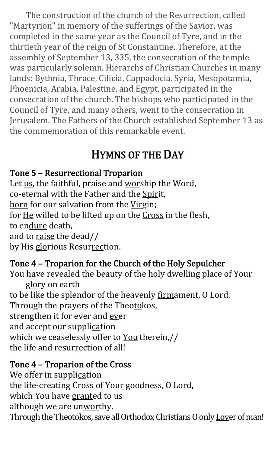The construction of the church of the Resurrection, called "Martyrion" in memory of the sufferings of the Savior, was completed in the same year as the Council of Tyre, and in the thirtieth year of the reign of St Constantine. Therefore, at the assembly of September 13, 335, the consecration of the temple was particularly solemn. Hierarchs of Christian Churches in many lands: Bythnia, Thrace, Cilicia, Cappadocia, Syria, Mesopotamia, Phoenicia, Arabia, Palestine, and Egypt, participated in the consecration of the church. The bishops who participated in the Council of Tyre, and many others, went to the consecration in Jerusalem. The Fathers of the Church established September 13 as the commemoration of this remarkable event.

# HYMNS OF THE DAY

#### Tone 5 – Resurrectional Troparion

Let us, the faithful, praise and worship the Word, co-eternal with the Father and the Spirit, born for our salvation from the Virgin; for He willed to be lifted up on the Cross in the flesh, to endure death, and to raise the dead// by His glorious Resurrection.

#### Tone 4 – Troparion for the Church of the Holy Sepulcher

You have revealed the beauty of the holy dwelling place of Your glory on earth to be like the splendor of the heavenly firmament, O Lord. Through the prayers of the Theotokos, strengthen it for ever and ever and accept our supplication which we ceaselessly offer to You therein,// the life and resurrection of all!

#### Tone 4 – Troparion of the Cross

We offer in supplication

the life-creating Cross of Your goodness, O Lord,

which You have granted to us

although we are unworthy.

Through the Theotokos, save all Orthodox Christians O only Lover of man!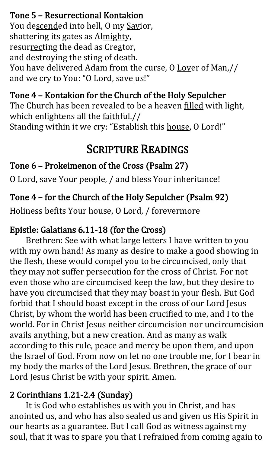Tone 5 – Resurrectional Kontakion You descended into hell, O my Savior, shattering its gates as Almighty, resurrecting the dead as Creator, and destroying the sting of death. You have delivered Adam from the curse, O Lover of Man,// and we cry to You: "O Lord, save us!"

Tone 4 – Kontakion for the Church of the Holy Sepulcher The Church has been revealed to be a heaven filled with light, which enlightens all the faithful.// Standing within it we cry: "Establish this house, O Lord!"

# SCRIPTURE READINGS

#### Tone 6 – Prokeimenon of the Cross (Psalm 27)

O Lord, save Your people, / and bless Your inheritance!

#### Tone 4 – for the Church of the Holy Sepulcher (Psalm 92)

Holiness befits Your house, O Lord, / forevermore

#### Epistle: Galatians 6.11-18 (for the Cross)

Brethren: See with what large letters I have written to you with my own hand! As many as desire to make a good showing in the flesh, these would compel you to be circumcised, only that they may not suffer persecution for the cross of Christ. For not even those who are circumcised keep the law, but they desire to have you circumcised that they may boast in your flesh. But God forbid that I should boast except in the cross of our Lord Jesus Christ, by whom the world has been crucified to me, and I to the world. For in Christ Jesus neither circumcision nor uncircumcision avails anything, but a new creation. And as many as walk according to this rule, peace and mercy be upon them, and upon the Israel of God. From now on let no one trouble me, for I bear in my body the marks of the Lord Jesus. Brethren, the grace of our Lord Jesus Christ be with your spirit. Amen.

#### 2 Corinthians 1.21-2.4 (Sunday)

It is God who establishes us with you in Christ, and has anointed us, and who has also sealed us and given us His Spirit in our hearts as a guarantee. But I call God as witness against my soul, that it was to spare you that I refrained from coming again to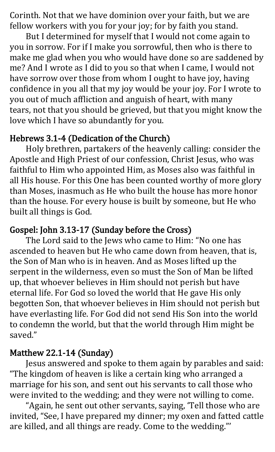Corinth. Not that we have dominion over your faith, but we are fellow workers with you for your joy; for by faith you stand.

But I determined for myself that I would not come again to you in sorrow. For if I make you sorrowful, then who is there to make me glad when you who would have done so are saddened by me? And I wrote as I did to you so that when I came, I would not have sorrow over those from whom I ought to have joy, having confidence in you all that my joy would be your joy. For I wrote to you out of much affliction and anguish of heart, with many tears, not that you should be grieved, but that you might know the love which I have so abundantly for you.

#### Hebrews 3.1-4 (Dedication of the Church)

Holy brethren, partakers of the heavenly calling: consider the Apostle and High Priest of our confession, Christ Jesus, who was faithful to Him who appointed Him, as Moses also was faithful in all His house. For this One has been counted worthy of more glory than Moses, inasmuch as He who built the house has more honor than the house. For every house is built by someone, but He who built all things is God.

#### Gospel: John 3.13-17 (Sunday before the Cross)

The Lord said to the Jews who came to Him: "No one has ascended to heaven but He who came down from heaven, that is, the Son of Man who is in heaven. And as Moses lifted up the serpent in the wilderness, even so must the Son of Man be lifted up, that whoever believes in Him should not perish but have eternal life. For God so loved the world that He gave His only begotten Son, that whoever believes in Him should not perish but have everlasting life. For God did not send His Son into the world to condemn the world, but that the world through Him might be saved."

#### Matthew 22.1-14 (Sunday)

Jesus answered and spoke to them again by parables and said: "The kingdom of heaven is like a certain king who arranged a marriage for his son, and sent out his servants to call those who were invited to the wedding; and they were not willing to come.

"Again, he sent out other servants, saying, 'Tell those who are invited, "See, I have prepared my dinner; my oxen and fatted cattle are killed, and all things are ready. Come to the wedding."'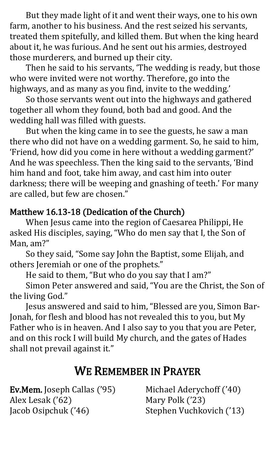But they made light of it and went their ways, one to his own farm, another to his business. And the rest seized his servants, treated them spitefully, and killed them. But when the king heard about it, he was furious. And he sent out his armies, destroyed those murderers, and burned up their city.

Then he said to his servants, 'The wedding is ready, but those who were invited were not worthy. Therefore, go into the highways, and as many as you find, invite to the wedding.'

So those servants went out into the highways and gathered together all whom they found, both bad and good. And the wedding hall was filled with guests.

But when the king came in to see the guests, he saw a man there who did not have on a wedding garment. So, he said to him, 'Friend, how did you come in here without a wedding garment?' And he was speechless. Then the king said to the servants, 'Bind him hand and foot, take him away, and cast him into outer darkness; there will be weeping and gnashing of teeth.' For many are called, but few are chosen."

#### Matthew 16.13-18 (Dedication of the Church)

When Jesus came into the region of Caesarea Philippi, He asked His disciples, saying, "Who do men say that I, the Son of Man, am?"

So they said, "Some say John the Baptist, some Elijah, and others Jeremiah or one of the prophets."

He said to them, "But who do you say that I am?"

Simon Peter answered and said, "You are the Christ, the Son of the living God."

Jesus answered and said to him, "Blessed are you, Simon Bar-Jonah, for flesh and blood has not revealed this to you, but My Father who is in heaven. And I also say to you that you are Peter, and on this rock I will build My church, and the gates of Hades shall not prevail against it."

## WE REMEMBER IN PRAYER

Ev.Mem. Joseph Callas ('95) Alex Lesak ('62) Jacob Osipchuk ('46)

Michael Aderychoff ('40) Mary Polk ('23) Stephen Vuchkovich ('13)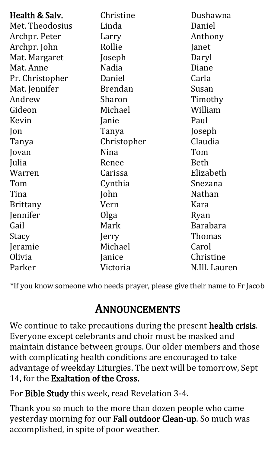| Health & Salv.  | Christine      | Dushawna        |
|-----------------|----------------|-----------------|
| Met. Theodosius | Linda          | Daniel          |
| Archpr. Peter   | Larry          | Anthony         |
| Archpr. John    | Rollie         | Janet           |
| Mat. Margaret   | Joseph         | Daryl           |
| Mat. Anne       | Nadia          | Diane           |
| Pr. Christopher | Daniel         | Carla           |
| Mat. Jennifer   | <b>Brendan</b> | Susan           |
| Andrew          | Sharon         | Timothy         |
| Gideon          | Michael        | William         |
| Kevin           | Janie          | Paul            |
| $\lceil$ on     | Tanya          | Joseph          |
| Tanya           | Christopher    | Claudia         |
| Jovan           | Nina           | Tom             |
| Julia           | Renee          | <b>Beth</b>     |
| Warren          | Carissa        | Elizabeth       |
| Tom             | Cynthia        | Snezana         |
| Tina            | John           | Nathan          |
| <b>Brittany</b> | Vern           | Kara            |
| Jennifer        | Olga           | Ryan            |
| Gail            | Mark           | <b>Barabara</b> |
| Stacy           | Jerry          | Thomas          |
| Jeramie         | Michael        | Carol           |
| Olivia          | Janice         | Christine       |
| Parker          | Victoria       | N.Ill. Lauren   |

\*If you know someone who needs prayer, please give their name to Fr Jacob

### ANNOUNCEMENTS

We continue to take precautions during the present health crisis. Everyone except celebrants and choir must be masked and maintain distance between groups. Our older members and those with complicating health conditions are encouraged to take advantage of weekday Liturgies. The next will be tomorrow, Sept 14, for the Exaltation of the Cross.

For Bible Study this week, read Revelation 3-4.

Thank you so much to the more than dozen people who came yesterday morning for our Fall outdoor Clean-up. So much was accomplished, in spite of poor weather.